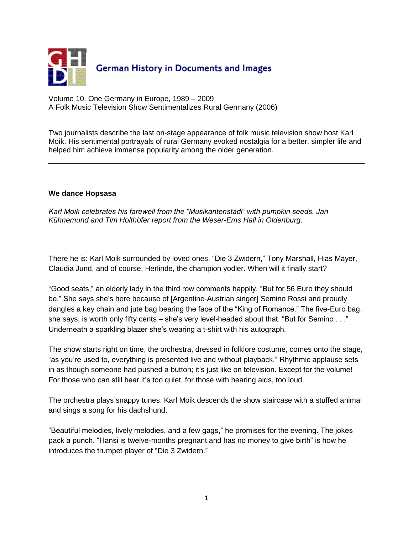

Volume 10. One Germany in Europe, 1989 – 2009 A Folk Music Television Show Sentimentalizes Rural Germany (2006)

Two journalists describe the last on-stage appearance of folk music television show host Karl Moik. His sentimental portrayals of rural Germany evoked nostalgia for a better, simpler life and helped him achieve immense popularity among the older generation.

## **We dance Hopsasa**

*Karl Moik celebrates his farewell from the "Musikantenstadl" with pumpkin seeds. Jan Kühnemund and Tim Holthöfer report from the Weser-Ems Hall in Oldenburg.*

There he is: Karl Moik surrounded by loved ones. "Die 3 Zwidern," Tony Marshall, Hias Mayer, Claudia Jund, and of course, Herlinde, the champion yodler. When will it finally start?

"Good seats," an elderly lady in the third row comments happily. "But for 56 Euro they should be." She says she's here because of [Argentine-Austrian singer] Semino Rossi and proudly dangles a key chain and jute bag bearing the face of the "King of Romance." The five-Euro bag, she says, is worth only fifty cents – she's very level-headed about that. "But for Semino . . ." Underneath a sparkling blazer she's wearing a t-shirt with his autograph.

The show starts right on time, the orchestra, dressed in folklore costume, comes onto the stage, "as you're used to, everything is presented live and without playback." Rhythmic applause sets in as though someone had pushed a button; it's just like on television. Except for the volume! For those who can still hear it's too quiet, for those with hearing aids, too loud.

The orchestra plays snappy tunes. Karl Moik descends the show staircase with a stuffed animal and sings a song for his dachshund.

"Beautiful melodies, lively melodies, and a few gags," he promises for the evening. The jokes pack a punch. "Hansi is twelve-months pregnant and has no money to give birth" is how he introduces the trumpet player of "Die 3 Zwidern."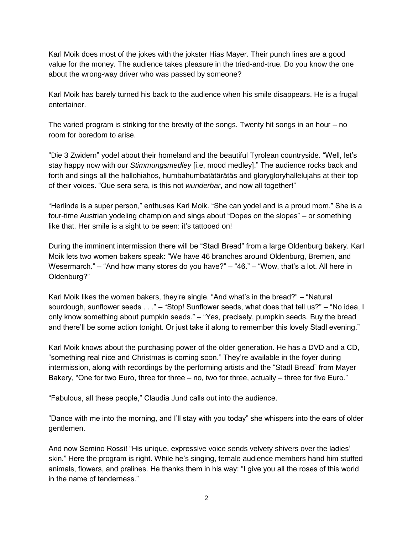Karl Moik does most of the jokes with the jokster Hias Mayer. Their punch lines are a good value for the money. The audience takes pleasure in the tried-and-true. Do you know the one about the wrong-way driver who was passed by someone?

Karl Moik has barely turned his back to the audience when his smile disappears. He is a frugal entertainer.

The varied program is striking for the brevity of the songs. Twenty hit songs in an hour – no room for boredom to arise.

"Die 3 Zwidern" yodel about their homeland and the beautiful Tyrolean countryside. "Well, let's stay happy now with our *Stimmungsmedley* [i.e, mood medley]." The audience rocks back and forth and sings all the hallohiahos, humbahumbatätärätäs and glorygloryhallelujahs at their top of their voices. "Que sera sera, is this not *wunderbar*, and now all together!"

"Herlinde is a super person," enthuses Karl Moik. "She can yodel and is a proud mom." She is a four-time Austrian yodeling champion and sings about "Dopes on the slopes" – or something like that. Her smile is a sight to be seen: it's tattooed on!

During the imminent intermission there will be "Stadl Bread" from a large Oldenburg bakery. Karl Moik lets two women bakers speak: "We have 46 branches around Oldenburg, Bremen, and Wesermarch." – "And how many stores do you have?" – "46." – "Wow, that's a lot. All here in Oldenburg?"

Karl Moik likes the women bakers, they're single. "And what's in the bread?" – "Natural sourdough, sunflower seeds . . ." – "Stop! Sunflower seeds, what does that tell us?" – "No idea, I only know something about pumpkin seeds." – "Yes, precisely, pumpkin seeds. Buy the bread and there'll be some action tonight. Or just take it along to remember this lovely Stadl evening."

Karl Moik knows about the purchasing power of the older generation. He has a DVD and a CD, "something real nice and Christmas is coming soon." They're available in the foyer during intermission, along with recordings by the performing artists and the "Stadl Bread" from Mayer Bakery, "One for two Euro, three for three – no, two for three, actually – three for five Euro."

"Fabulous, all these people," Claudia Jund calls out into the audience.

"Dance with me into the morning, and I'll stay with you today" she whispers into the ears of older gentlemen.

And now Semino Rossi! "His unique, expressive voice sends velvety shivers over the ladies' skin." Here the program is right. While he's singing, female audience members hand him stuffed animals, flowers, and pralines. He thanks them in his way: "I give you all the roses of this world in the name of tenderness."